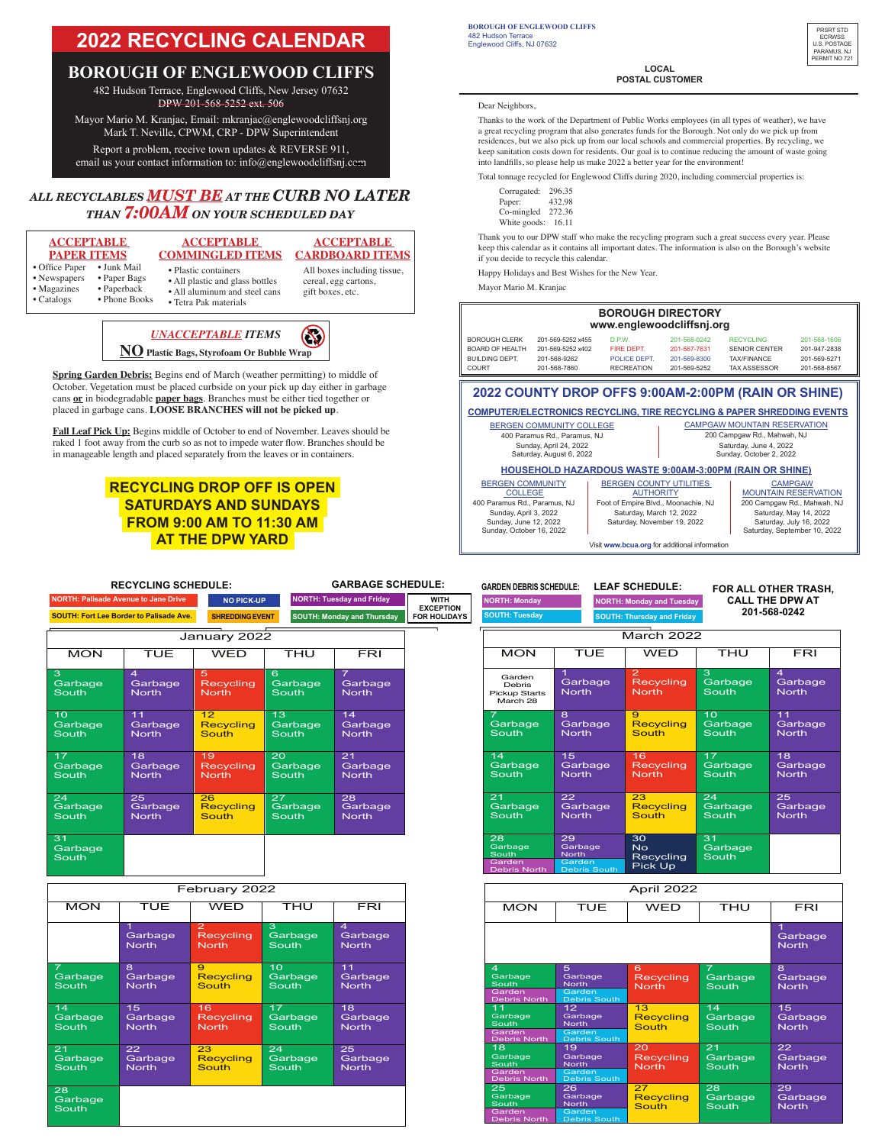### **BOROUGH DIRECTORY www.englewoodcliffsnj.org**

**LOCAL POSTAL CUSTOMER**



#### **2022 COUNTY DROP OFFS 9:00AM-2:00PM (RAIN OR SHINE)**   $\overline{\phantom{0}}$ 00PM (RA

**COMPUTER/ELECTRONICS RECYCLING, TIRE RECYCLING & PAPER SHREDDING EVENTS** north.<br>No ainm

> 200 Campgaw Rd., Mahwah, NJ Saturday, June 4, 2022 Sunday, October 2, 2022

#### **HOUSEHOLD HAZARDOUS WASTE 9:00AM-3:00PM (RAIN OR SHINE)** Recycling **IAS** <u>IAS I E 9:00A</u><br>Decenimental  $-00$ <u>:00PM (RAIN</u>

BERGEN COMMUNITY | BERGEN COUNTY UTILITIES BERGEN COMMUNITY **COLLEGE** 400 Paramus Rd., Paramus, NJ<br>Sunday, April 3, 2022 Sunday, April 3, 2022 <u>COLLEGE</u>

Saturday, A

Sunday, June 12, 2022 Sunday, October 16, 2022

 $\sum_{i=1}^n$ 

#### **RECYCLING SCHEDULE: GARBAGE SCHEDULE: FOR ALL OTHER TRASH, CALL THE DPW AT 201-568-0242 NORTH: Tuesday and Friday SOUTH: Monday and Thursday NO PICK-UP SHREDDING EVENT NORTH: Palisade Avenue to Jane Drive SOUTH:** Fort Lee Border to Palisade Ave. SHREDDING EVENT SOUTH: Monday and Thu **WITH EXCEPTION FOR HOLIDAYS NORTH: Monday GARDEN DEBRIS SCHEDULE: SOUTH: Tuesday NORTH: Monday and Tuesday LEAF SCHEDULE: SOUTH: Thursday and Friday ECVCLING SCHEDULE:** Debris North January 2022 ————————————————————<br>March 2022

CAMPGAW MOUNTAIN RESERVATION

200 Campgaw Rd., Mahwah, NJ Saturday, May 14, 2022 Saturday, July 16, 2022 Saturday, September 10, 2022 Garbage

Visit www.bcua.org for additional information <u>recognization</u> <u>Garbage and</u> Garbage (1985)

CAMPGAW MOUNTAIN RESERVATION 8

| <b>MON</b>                    | TUE            | <b>WED</b>       | THU          | <b>FRI</b>     |
|-------------------------------|----------------|------------------|--------------|----------------|
| 3                             | $\overline{4}$ | 5                | 6            | $\overline{7}$ |
| Garbage                       | Garbage        | <b>Recycling</b> | Garbage      | Garbage        |
| <b>South</b>                  | <b>North</b>   | <b>North</b>     | <b>South</b> | <b>North</b>   |
| 10                            | 11             | 12               | 13           | 14             |
| Garbage                       | Garbage        | <b>Recycling</b> | Garbage      | Garbage        |
| <b>South</b>                  | <b>North</b>   | <b>South</b>     | <b>South</b> | <b>North</b>   |
| 17                            | 18             | 19               | 20           | 21             |
| Garbage                       | Garbage        | <b>Recycling</b> | Garbage      | Garbage        |
| <b>South</b>                  | <b>North</b>   | <b>North</b>     | <b>South</b> | <b>North</b>   |
| 24                            | 25             | 26               | 27           | 28             |
| Garbage                       | Garbage        | <b>Recycling</b> | Garbage      | Garbage        |
| <b>South</b>                  | <b>North</b>   | <b>South</b>     | <b>South</b> | <b>North</b>   |
| 31<br>Garbage<br><b>South</b> |                |                  |              |                |

Garbage

Garbage South

BERGEN COMMUNITY COLLEGE 400 Paramus Rd., Paramus, NJ Sunday, April 24, 2022<br>
Sunday, April 24, 2022<br>
Seturday, August 6, 2022 Sunday, April 24, 2022<br>Saturday, August 6, 2022 400 Paramus Rd., Paramus, NJ<br>Sunday April 24, 2022

 $\sim$ 

Debris North

11 Garbage

Debris North

18 Garbage

Debris North

MONTH TUESDAY OF THE SAME REPORT OF THE SAME REPORT OF THE SAME REPORT OF THE SAME REPORT OF THE SAME REPORT OF

Garbage

26 Garbage

**AUTHORITY** 

Foot of Empire Blvd., Moonachie, NJ Saturday, March 12, 2022 Sunday, June 12, 2022 Saturday, November 19, 2022 Sunday, October 16, 2022  $\begin{array}{c} S \\ S \end{array}$ 

|                                                                              |                                                                             | <b>April 2022</b>                      |                                           |                               |
|------------------------------------------------------------------------------|-----------------------------------------------------------------------------|----------------------------------------|-------------------------------------------|-------------------------------|
| <b>MON</b>                                                                   | <b>TUE</b>                                                                  | <b>WED</b>                             | <b>THU</b>                                | <b>FRI</b>                    |
|                                                                              |                                                                             |                                        |                                           | 1<br>Garbage<br><b>North</b>  |
| $\boldsymbol{4}$<br>Garbage<br><b>South</b><br>Garden<br><b>Debris North</b> | 5<br>Garbage<br><b>North</b><br>Garden<br><b>Debris South</b>               | 6<br><b>Recycling</b><br><b>North</b>  | $\overline{7}$<br>Garbage<br><b>South</b> | 8<br>Garbage<br><b>North</b>  |
| 11<br>Garbage<br>South<br>Garden<br><b>Debris North</b>                      | 12 <sub>1</sub><br>Garbage<br><b>North</b><br>Garden<br><b>Debris South</b> | 13<br><b>Recycling</b><br><b>South</b> | 14<br>Garbage<br><b>South</b>             | 15<br>Garbage<br><b>North</b> |
| 18<br>Garbage<br>South<br>Garden<br><b>Debris North</b>                      | 19<br>Garbage<br><b>North</b><br>Garden<br><b>Debris South</b>              | 20<br><b>Recycling</b><br><b>North</b> | 21<br>Garbage<br><b>South</b>             | 22<br>Garbage<br><b>North</b> |
| 25<br>Garbage<br>South<br>Garden<br><b>Debris North</b>                      | 26<br>Garbage<br><b>North</b><br>Garden<br><b>Debris South</b>              | 27<br><b>Recycling</b><br><b>South</b> | 28<br>Garbage<br>South                    | 29<br>Garbage<br><b>North</b> |

| <b>MON</b>                                                  | <b>TUE</b>                                                     | <b>WED</b>                                         | <b>THU</b>                    | FRI                                         |
|-------------------------------------------------------------|----------------------------------------------------------------|----------------------------------------------------|-------------------------------|---------------------------------------------|
| Garden<br><b>Debris</b><br><b>Pickup Starts</b><br>March 28 | $\blacktriangleleft$<br>Garbage<br><b>North</b>                | $\overline{2}$<br><b>Recycling</b><br><b>North</b> | 3<br>Garbage<br><b>South</b>  | $\boldsymbol{4}$<br>Garbage<br><b>North</b> |
| Garbage<br><b>South</b>                                     | 8<br>Garbage<br><b>North</b>                                   | 9<br><b>Recycling</b><br><b>South</b>              | 10<br>Garbage<br><b>South</b> | 11<br>Garbage<br><b>North</b>               |
| 14<br>Garbage<br><b>South</b>                               | 15<br>Garbage<br><b>North</b>                                  | 16<br><b>Recycling</b><br><b>North</b>             | 17<br>Garbage<br><b>South</b> | 18<br>Garbage<br><b>North</b>               |
| 21<br>Garbage<br><b>South</b>                               | 22<br>Garbage<br><b>North</b>                                  | 23<br><b>Recycling</b><br><b>South</b>             | 24<br>Garbage<br><b>South</b> | 25<br>Garbage<br><b>North</b>               |
| 28<br>Garbage<br>South<br>Garden<br><b>Debris North</b>     | 29<br>Garbage<br><b>North</b><br>Garden<br><b>Debris South</b> | 30<br><b>No</b><br>Recycling<br><b>Pick Up</b>     | 31<br>Garbage<br><b>South</b> |                                             |

| <b>BOROUGH CLERK</b><br>BOARD OF HEALTH | 201-569-5252 x455<br>201-569-5252 x402 | D.P.W.<br>FIRE DEPT. | 201-568-0242<br>201-567-7631 | <b>RECYCLING</b><br><b>SENIOR CENTER</b> | 201-568-1606<br>201-947-2838 |
|-----------------------------------------|----------------------------------------|----------------------|------------------------------|------------------------------------------|------------------------------|
| BUILDING DEPT.                          | 201-568-9262                           | <b>POLICE DEPT.</b>  | 201-569-8300                 | TAX/FINANCE                              | 201-569-5271                 |
| COURT                                   | 201-568-7860                           | <b>RECREATION</b>    | 201-569-5252                 | <b>TAX ASSESSOR</b>                      | 201-568-8567                 |

- All plastic and glass bottles • All aluminum and steel cans
- Tetra Pak materials
- All boxes including tissue, cereal, egg cartons, gift boxes, etc.

October. Vegetation must be placed curbside on your pick up day either in garbage uon must oc<br>gradable **nar** egradabi<br>North cu curosiuc on<br>1**90s** Rranches 2<u>ags</u>. Br<br>DD 1 N0 ur pick up ua<br>ist be either ti ist be eit<br>Leet he iur in garoag<br>wether or cans <u>or</u> in biodegradable **paper bags**. Branches must be either tied together or  $\frac{\mathbf{a}}{\mathbf{n}}$  and  $\frac{\mathbf{b}}{\mathbf{n}}$  are placed in garbage cans. **LOOSE BRANCHES will not be picked up**. **Spring Garden Debris:** Begins end of March (weather permitting) to middle of

|                               |              | February 2022    |              |                |
|-------------------------------|--------------|------------------|--------------|----------------|
| <b>MON</b>                    | TUE          | <b>WED</b>       | <b>THU</b>   | <b>FRI</b>     |
|                               | 1            | $\overline{2}$   | 3            | $\overline{4}$ |
|                               | Garbage      | <b>Recycling</b> | Garbage      | Garbage        |
|                               | <b>North</b> | <b>North</b>     | <b>South</b> | <b>North</b>   |
| $\overline{7}$                | 8            | 9                | 10           | 11             |
| Garbage                       | Garbage      | <b>Recycling</b> | Garbage      | Garbage        |
| <b>South</b>                  | <b>North</b> | <b>South</b>     | <b>South</b> | <b>North</b>   |
| 14                            | 15           | 16               | 17           | 18             |
| Garbage                       | Garbage      | <b>Recycling</b> | Garbage      | Garbage        |
| <b>South</b>                  | <b>North</b> | <b>North</b>     | <b>South</b> | <b>North</b>   |
| 21                            | 22           | 23               | 24           | 25             |
| Garbage                       | Garbage      | <b>Recycling</b> | Garbage      | Garbage        |
| <b>South</b>                  | <b>North</b> | <b>South</b>     | <b>South</b> | <b>North</b>   |
| 28<br>Garbage<br><b>South</b> |              |                  |              |                |

 $\overline{1}$ <u>Fall Leaf P</u> raked 1 foot away from the curb so as not to impede water flow. Branches should be  $\overline{a}$ U**p:** Begins m  $\overline{9}$ e of October to  $\frac{1}{\pi}$ d of Novembe  $3V$ e Fall Leaf Pick Up: Begins middle of October to end of November. Leaves should be<br>whether the three from the purk se constitutions derived and flave Branch as should be in manageable length and placed separately from the leaves or in containers.

#### $\overline{G}$  and  $\overline{G}$ **RECY**  $\overline{\phantom{a}}$   $\overline{\phantom{a}}$ **G** DR  $\frac{1}{2}$   $\frac{1}{2}$   $\frac{1}{2}$   $\frac{1}{2}$   $\frac{1}{2}$ **RECYCLING DROP OFF IS OPEN** <mark>ga</mark>rbage in de **SATURDAYS AND SUNDAYS** EROM <mark>FK</mark> <mark>በበ AM TC</mark> <mark>UU Al</mark> 11.30 AM South **FROM 9:00 AM TO 11:30 AM** 30 31 **AT THE DPW YARD**

### Dear Neighbors,

Thanks to the work of the Department of Public Works employees (in all types of weather), we have a great recycling program that also generates funds for the Borough. Not only do we pick up from residences, but we also pick up from our local schools and commercial properties. By recycling, we keep sanitation costs down for residents. Our goal is to continue reducing the amount of waste going into landfills, so please help us make 2022 a better year for the environment!

Total tonnage recycled for Englewood Cliffs during 2020, including commercial properties is:

Corrugated: 296.35 Paper: 432.98 Co-mingled 272.36 White goods: 16.11

Thank you to our DPW staff who make the recycling program such a great success every year. Please keep this calendar as it contains all important dates. The information is also on the Borough's website if you decide to recycle this calendar.

Happy Holidays and Best Wishes for the New Year.

Mayor Mario M. Kranjac

### **ACCEPTABLE PAPER ITEMS**

### **ACCEPTABLE COMMINGLED ITEMS**

**ACCEPTABLE CARDBOARD ITEMS**

- Plastic containers • Office Paper • Junk Mail
	- Paper Bags
	- Paperback
- Catalogs • Phone Books

• Newspapers • Magazines



# **2022 RECYCLING CALENDAR**

## **BOROUGH OF ENGLEWOOD CLIFFS**

482 Hudson Terrace, Englewood Cliffs, New Jersey 07632 DPW 201-568-5252 ext. 506

Mayor Mario M. Kranjac, Email: mkranjac@englewoodcliffsnj.org Mark T. Neville, CPWM, CRP - DPW Superintendent

Report a problem, receive town updates & REVERSE 911, email us your contact information to: info@englewoodcliffsnj.com

## *ALL RECYCLABLES MUST BE AT THE CURB NO LATER THAN 7:00AM ON YOUR SCHEDULED DAY*